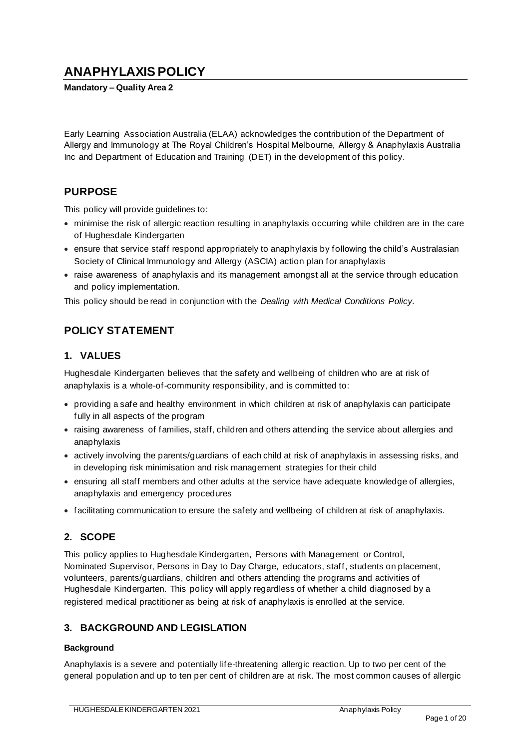# **ANAPHYLAXIS POLICY**

**Mandatory – Quality Area 2**

Early Learning Association Australia (ELAA) acknowledges the contribution of the Department of Allergy and Immunology at The Royal Children's Hospital Melbourne, Allergy & Anaphylaxis Australia Inc and Department of Education and Training (DET) in the development of this policy.

### **PURPOSE**

This policy will provide guidelines to:

- minimise the risk of allergic reaction resulting in anaphylaxis occurring while children are in the care of Hughesdale Kindergarten
- ensure that service staff respond appropriately to anaphylaxis by following the child's Australasian Society of Clinical Immunology and Allergy (ASCIA) action plan for anaphylaxis
- raise awareness of anaphylaxis and its management amongst all at the service through education and policy implementation.

This policy should be read in conjunction with the *Dealing with Medical Conditions Policy.*

# **POLICY STATEMENT**

### **1. VALUES**

Hughesdale Kindergarten believes that the safety and wellbeing of children who are at risk of anaphylaxis is a whole-of-community responsibility, and is committed to:

- providing a safe and healthy environment in which children at risk of anaphylaxis can participate fully in all aspects of the program
- raising awareness of families, staff, children and others attending the service about allergies and anaphylaxis
- actively involving the parents/guardians of each child at risk of anaphylaxis in assessing risks, and in developing risk minimisation and risk management strategies for their child
- ensuring all staff members and other adults at the service have adequate knowledge of allergies, anaphylaxis and emergency procedures
- facilitating communication to ensure the safety and wellbeing of children at risk of anaphylaxis.

### **2. SCOPE**

This policy applies to Hughesdale Kindergarten, Persons with Management or Control, Nominated Supervisor, Persons in Day to Day Charge, educators, staff, students on placement, volunteers, parents/guardians, children and others attending the programs and activities of Hughesdale Kindergarten. This policy will apply regardless of whether a child diagnosed by a registered medical practitioner as being at risk of anaphylaxis is enrolled at the service.

### **3. BACKGROUND AND LEGISLATION**

### **Background**

Anaphylaxis is a severe and potentially life-threatening allergic reaction. Up to two per cent of the general population and up to ten per cent of children are at risk. The most common causes of allergic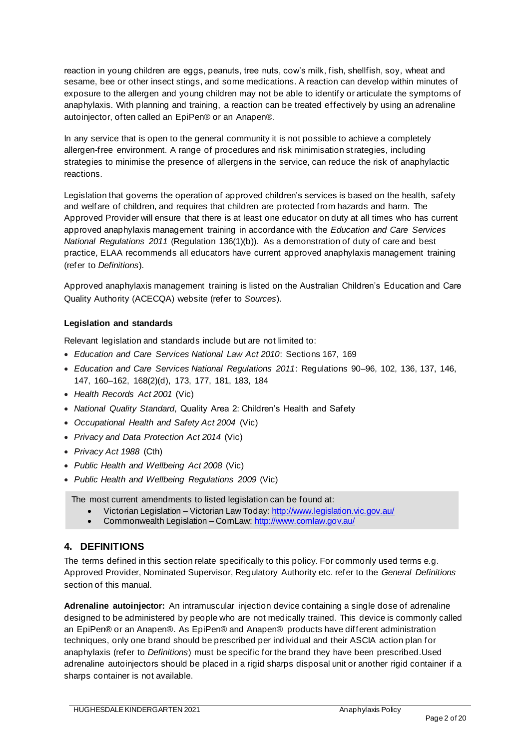reaction in young children are eggs, peanuts, tree nuts, cow's milk, fish, shellfish, soy, wheat and sesame, bee or other insect stings, and some medications. A reaction can develop within minutes of exposure to the allergen and young children may not be able to identify or articulate the symptoms of anaphylaxis. With planning and training, a reaction can be treated effectively by using an adrenaline autoinjector, often called an EpiPen® or an Anapen®.

In any service that is open to the general community it is not possible to achieve a completely allergen-free environment. A range of procedures and risk minimisation strategies, including strategies to minimise the presence of allergens in the service, can reduce the risk of anaphylactic reactions.

Legislation that governs the operation of approved children's services is based on the health, safety and welfare of children, and requires that children are protected from hazards and harm. The Approved Provider will ensure that there is at least one educator on duty at all times who has current approved anaphylaxis management training in accordance with the *Education and Care Services National Regulations 2011* (Regulation 136(1)(b)). As a demonstration of duty of care and best practice, ELAA recommends all educators have current approved anaphylaxis management training (refer to *Definitions*).

Approved anaphylaxis management training is listed on the Australian Children's Education and Care Quality Authority (ACECQA) website (refer to *Sources*).

### **Legislation and standards**

Relevant legislation and standards include but are not limited to:

- *Education and Care Services National Law Act 2010*: Sections 167, 169
- *Education and Care Services National Regulations 2011*: Regulations 90–96, 102, 136, 137, 146, 147, 160–162, 168(2)(d), 173, 177, 181, 183, 184
- *Health Records Act 2001* (Vic)
- *National Quality Standard*, Quality Area 2: Children's Health and Safety
- *Occupational Health and Safety Act 2004* (Vic)
- *Privacy and Data Protection Act 2014* (Vic)
- *Privacy Act 1988* (Cth)
- *Public Health and Wellbeing Act 2008* (Vic)
- *Public Health and Wellbeing Regulations 2009* (Vic)

The most current amendments to listed legislation can be found at:

- Victorian Legislation Victorian Law Today: http://www.legislation.vic.gov.au/
- Commonwealth Legislation ComLaw: http://www.comlaw.gov.au/

### **4. DEFINITIONS**

The terms defined in this section relate specifically to this policy. For commonly used terms e.g. Approved Provider, Nominated Supervisor, Regulatory Authority etc. refer to the *General Definitions* section of this manual.

**Adrenaline autoinjector:** An intramuscular injection device containing a single dose of adrenaline designed to be administered by people who are not medically trained. This device is commonly called an EpiPen® or an Anapen®. As EpiPen® and Anapen® products have different administration techniques, only one brand should be prescribed per individual and their ASCIA action plan for anaphylaxis (refer to *Definitions*) must be specific for the brand they have been prescribed.Used adrenaline autoinjectors should be placed in a rigid sharps disposal unit or another rigid container if a sharps container is not available.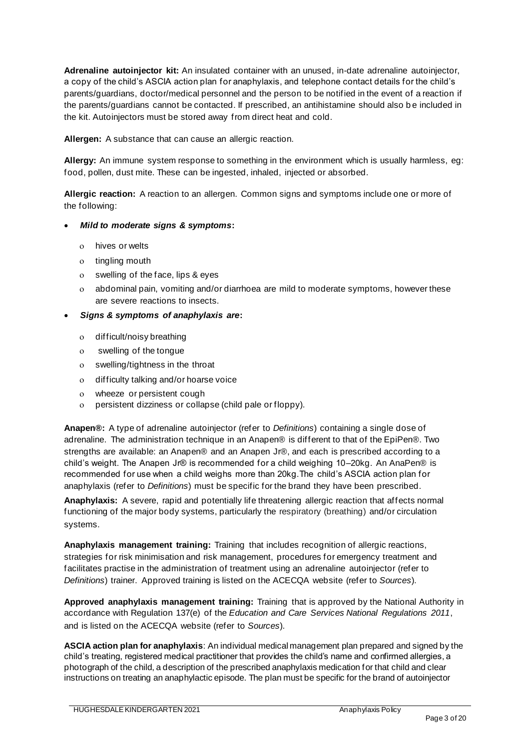**Adrenaline autoinjector kit:** An insulated container with an unused, in-date adrenaline autoinjector, a copy of the child's ASCIA action plan for anaphylaxis, and telephone contact details for the child's parents/guardians, doctor/medical personnel and the person to be notified in the event of a reaction if the parents/guardians cannot be contacted. If prescribed, an antihistamine should also b e included in the kit. Autoinjectors must be stored away from direct heat and cold.

**Allergen:** A substance that can cause an allergic reaction.

**Allergy:** An immune system response to something in the environment which is usually harmless, eg: food, pollen, dust mite. These can be ingested, inhaled, injected or absorbed.

**Allergic reaction:** A reaction to an allergen. Common signs and symptoms include one or more of the following:

### • *Mild to moderate signs & symptoms***:**

- hives or welts
- o tingling mouth
- swelling of the face, lips & eyes
- abdominal pain, vomiting and/or diarrhoea are mild to moderate symptoms, however these are severe reactions to insects.

### • *Signs & symptoms of anaphylaxis are***:**

- difficult/noisy breathing
- swelling of the tongue
- swelling/tightness in the throat
- difficulty talking and/or hoarse voice
- wheeze or persistent cough
- persistent dizziness or collapse (child pale or floppy).

**Anapen®:** A type of adrenaline autoinjector (refer to *Definitions*) containing a single dose of adrenaline. The administration technique in an Anapen® is different to that of the EpiPen®. Two strengths are available: an Anapen® and an Anapen Jr®, and each is prescribed according to a child's weight. The Anapen Jr® is recommended for a child weighing 10–20kg. An AnaPen® is recommended for use when a child weighs more than 20kg.The child's ASCIA action plan for anaphylaxis (refer to *Definitions*) must be specific for the brand they have been prescribed.

**Anaphylaxis:** A severe, rapid and potentially life threatening allergic reaction that affects normal functioning of the major body systems, particularly the respiratory (breathing) and/or circulation systems.

**Anaphylaxis management training:** Training that includes recognition of allergic reactions, strategies for risk minimisation and risk management, procedures for emergency treatment and facilitates practise in the administration of treatment using an adrenaline autoinjector (refer to *Definitions*) trainer. Approved training is listed on the ACECQA website (refer to *Sources*).

**Approved anaphylaxis management training:** Training that is approved by the National Authority in accordance with Regulation 137(e) of the *Education and Care Services National Regulations 2011*, and is listed on the ACECQA website (refer to *Sources*).

**ASCIA action plan for anaphylaxis**: An individual medical management plan prepared and signed by the child's treating, registered medical practitioner that provides the child's name and confirmed allergies, a photograph of the child, a description of the prescribed anaphylaxis medication for that child and clear instructions on treating an anaphylactic episode. The plan must be specific for the brand of autoinjector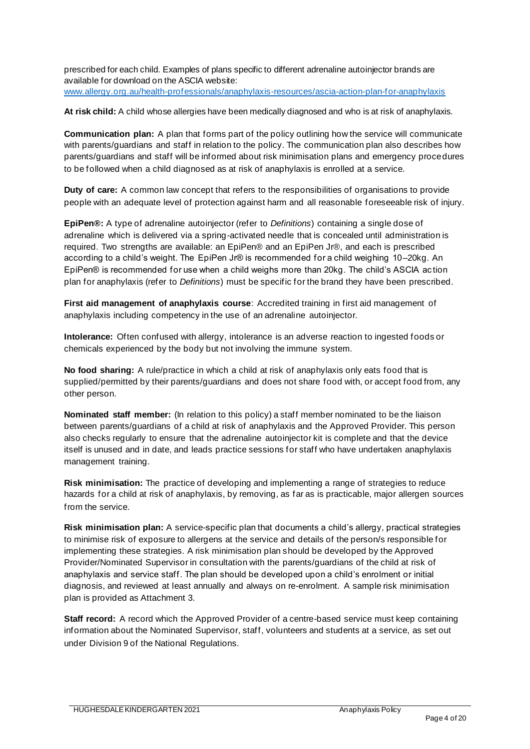prescribed for each child. Examples of plans specific to different adrenaline autoinjector brands are available for download on the ASCIA website: www.allergy.org.au/health-professionals/anaphylaxis-resources/ascia-action-plan-for-anaphylaxis

**At risk child:** A child whose allergies have been medically diagnosed and who is at risk of anaphylaxis.

**Communication plan:** A plan that forms part of the policy outlining how the service will communicate with parents/guardians and staff in relation to the policy. The communication plan also describes how parents/guardians and staff will be informed about risk minimisation plans and emergency procedures to be followed when a child diagnosed as at risk of anaphylaxis is enrolled at a service.

**Duty of care:** A common law concept that refers to the responsibilities of organisations to provide people with an adequate level of protection against harm and all reasonable foreseeable risk of injury.

**EpiPen®:** A type of adrenaline autoinjector (refer to *Definitions*) containing a single dose of adrenaline which is delivered via a spring-activated needle that is concealed until administration is required. Two strengths are available: an EpiPen® and an EpiPen Jr®, and each is prescribed according to a child's weight. The EpiPen Jr® is recommended for a child weighing 10–20kg. An EpiPen® is recommended for use when a child weighs more than 20kg. The child's ASCIA ac tion plan for anaphylaxis (refer to *Definitions*) must be specific for the brand they have been prescribed.

**First aid management of anaphylaxis course**: Accredited training in first aid management of anaphylaxis including competency in the use of an adrenaline autoinjector.

**Intolerance:** Often confused with allergy, intolerance is an adverse reaction to ingested foods or chemicals experienced by the body but not involving the immune system.

**No food sharing:** A rule/practice in which a child at risk of anaphylaxis only eats food that is supplied/permitted by their parents/guardians and does not share food with, or accept food from, any other person.

**Nominated staff member:** (In relation to this policy) a staff member nominated to be the liaison between parents/guardians of a child at risk of anaphylaxis and the Approved Provider. This person also checks regularly to ensure that the adrenaline autoinjector kit is complete and that the device itself is unused and in date, and leads practice sessions for staff who have undertaken anaphylaxis management training.

**Risk minimisation:** The practice of developing and implementing a range of strategies to reduce hazards for a child at risk of anaphylaxis, by removing, as far as is practicable, major allergen sources from the service.

**Risk minimisation plan:** A service-specific plan that documents a child's allergy, practical strategies to minimise risk of exposure to allergens at the service and details of the person/s responsible for implementing these strategies. A risk minimisation plan should be developed by the Approved Provider/Nominated Supervisor in consultation with the parents/guardians of the child at risk of anaphylaxis and service staff. The plan should be developed upon a child's enrolment or initial diagnosis, and reviewed at least annually and always on re-enrolment. A sample risk minimisation plan is provided as Attachment 3.

**Staff record:** A record which the Approved Provider of a centre-based service must keep containing information about the Nominated Supervisor, staff, volunteers and students at a service, as set out under Division 9 of the National Regulations.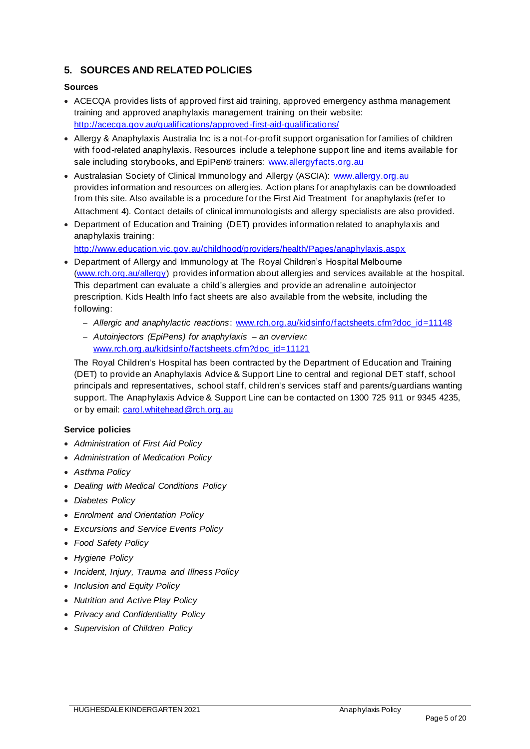### **5. SOURCES AND RELATED POLICIES**

### **Sources**

- ACECQA provides lists of approved first aid training, approved emergency asthma management training and approved anaphylaxis management training on their website: http://acecqa.gov.au/qualifications/approved-first-aid-qualifications/
- Allergy & Anaphylaxis Australia Inc is a not-for-profit support organisation for families of children with food-related anaphylaxis. Resources include a telephone support line and items available for sale including storybooks, and EpiPen® trainers: www.allergyfacts.org.au
- Australasian Society of Clinical Immunology and Allergy (ASCIA): www.allergy.org.au provides information and resources on allergies. Action plans for anaphylaxis can be downloaded from this site. Also available is a procedure for the First Aid Treatment for anaphylaxis (refer to Attachment 4). Contact details of clinical immunologists and allergy specialists are also provided.
- Department of Education and Training (DET) provides information related to anaphylaxis and anaphylaxis training:

http://www.education.vic.gov.au/childhood/providers/health/Pages/anaphylaxis.aspx

- Department of Allergy and Immunology at The Royal Children's Hospital Melbourne (www.rch.org.au/allergy) provides information about allergies and services available at the hospital. This department can evaluate a child's allergies and provide an adrenaline autoinjector prescription. Kids Health Info fact sheets are also available from the website, including the following:
	- − *Allergic and anaphylactic reactions*: www.rch.org.au/kidsinfo/factsheets.cfm?doc\_id=11148
	- − *Autoinjectors (EpiPens) for anaphylaxis – an overview:*  www.rch.org.au/kidsinfo/factsheets.cfm?doc\_id=11121

The Royal Children's Hospital has been contracted by the Department of Education and Training (DET) to provide an Anaphylaxis Advice & Support Line to central and regional DET staff, school principals and representatives, school staff, children's services staff and parents/guardians wanting support. The Anaphylaxis Advice & Support Line can be contacted on 1300 725 911 or 9345 4235, or by email: carol.whitehead@rch.org.au

#### **Service policies**

- *Administration of First Aid Policy*
- *Administration of Medication Policy*
- *Asthma Policy*
- *Dealing with Medical Conditions Policy*
- *Diabetes Policy*
- *Enrolment and Orientation Policy*
- *Excursions and Service Events Policy*
- *Food Safety Policy*
- *Hygiene Policy*
- *Incident, Injury, Trauma and Illness Policy*
- *Inclusion and Equity Policy*
- *Nutrition and Active Play Policy*
- *Privacy and Confidentiality Policy*
- *Supervision of Children Policy*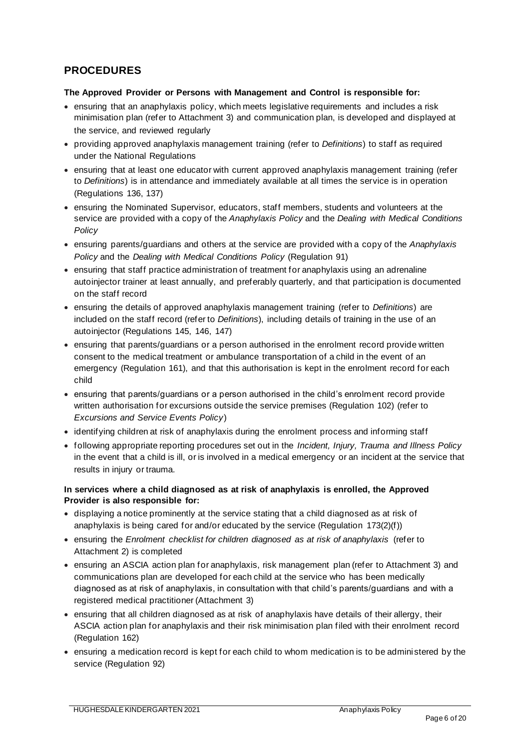# **PROCEDURES**

### **The Approved Provider or Persons with Management and Control is responsible for:**

- ensuring that an anaphylaxis policy, which meets legislative requirements and includes a risk minimisation plan (refer to Attachment 3) and communication plan, is developed and displayed at the service, and reviewed regularly
- providing approved anaphylaxis management training (refer to *Definitions*) to staff as required under the National Regulations
- ensuring that at least one educator with current approved anaphylaxis management training (refer to *Definitions*) is in attendance and immediately available at all times the service is in operation (Regulations 136, 137)
- ensuring the Nominated Supervisor, educators, staff members, students and volunteers at the service are provided with a copy of the *Anaphylaxis Policy* and the *Dealing with Medical Conditions Policy*
- ensuring parents/guardians and others at the service are provided with a copy of the *Anaphylaxis Policy* and the *Dealing with Medical Conditions Policy* (Regulation 91)
- ensuring that staff practice administration of treatment for anaphylaxis using an adrenaline autoinjector trainer at least annually, and preferably quarterly, and that participation is documented on the staff record
- ensuring the details of approved anaphylaxis management training (refer to *Definitions*) are included on the staff record (refer to *Definitions*), including details of training in the use of an autoinjector (Regulations 145, 146, 147)
- ensuring that parents/guardians or a person authorised in the enrolment record provide written consent to the medical treatment or ambulance transportation of a child in the event of an emergency (Regulation 161), and that this authorisation is kept in the enrolment record for each child
- ensuring that parents/guardians or a person authorised in the child's enrolment record provide written authorisation for excursions outside the service premises (Regulation 102) (refer to *Excursions and Service Events Policy*)
- identifying children at risk of anaphylaxis during the enrolment process and informing staff
- following appropriate reporting procedures set out in the *Incident, Injury, Trauma and Illness Policy* in the event that a child is ill, or is involved in a medical emergency or an incident at the service that results in injury or trauma.

### **In services where a child diagnosed as at risk of anaphylaxis is enrolled, the Approved Provider is also responsible for:**

- displaying a notice prominently at the service stating that a child diagnosed as at risk of anaphylaxis is being cared for and/or educated by the service (Regulation 173(2)(f))
- ensuring the *Enrolment checklist for children diagnosed as at risk of anaphylaxis* (refer to Attachment 2) is completed
- ensuring an ASCIA action plan for anaphylaxis, risk management plan (refer to Attachment 3) and communications plan are developed for each child at the service who has been medically diagnosed as at risk of anaphylaxis, in consultation with that child's parents/guardians and with a registered medical practitioner (Attachment 3)
- ensuring that all children diagnosed as at risk of anaphylaxis have details of their allergy, their ASCIA action plan for anaphylaxis and their risk minimisation plan filed with their enrolment record (Regulation 162)
- ensuring a medication record is kept for each child to whom medication is to be administered by the service (Regulation 92)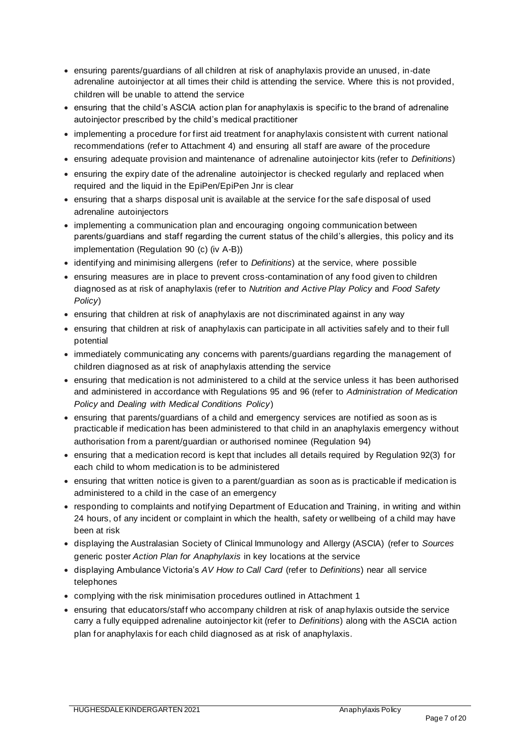- ensuring parents/guardians of all children at risk of anaphylaxis provide an unused, in-date adrenaline autoinjector at all times their child is attending the service. Where this is not provided, children will be unable to attend the service
- ensuring that the child's ASCIA action plan for anaphylaxis is specific to the brand of adrenaline autoinjector prescribed by the child's medical practitioner
- implementing a procedure for first aid treatment for anaphylaxis consistent with current national recommendations (refer to Attachment 4) and ensuring all staff are aware of the procedure
- ensuring adequate provision and maintenance of adrenaline autoinjector kits (refer to *Definitions*)
- ensuring the expiry date of the adrenaline autoinjector is checked regularly and replaced when required and the liquid in the EpiPen/EpiPen Jnr is clear
- ensuring that a sharps disposal unit is available at the service for the safe disposal of used adrenaline autoinjectors
- implementing a communication plan and encouraging ongoing communication between parents/guardians and staff regarding the current status of the child's allergies, this policy and its implementation (Regulation 90 (c) (iv A-B))
- identifying and minimising allergens (refer to *Definitions*) at the service, where possible
- ensuring measures are in place to prevent cross-contamination of any food given to children diagnosed as at risk of anaphylaxis (refer to *Nutrition and Active Play Policy* and *Food Safety Policy*)
- ensuring that children at risk of anaphylaxis are not discriminated against in any way
- ensuring that children at risk of anaphylaxis can participate in all activities safely and to their full potential
- immediately communicating any concerns with parents/guardians regarding the management of children diagnosed as at risk of anaphylaxis attending the service
- ensuring that medication is not administered to a child at the service unless it has been authorised and administered in accordance with Regulations 95 and 96 (refer to *Administration of Medication Policy* and *Dealing with Medical Conditions Policy*)
- ensuring that parents/guardians of a child and emergency services are notified as soon as is practicable if medication has been administered to that child in an anaphylaxis emergency without authorisation from a parent/guardian or authorised nominee (Regulation 94)
- ensuring that a medication record is kept that includes all details required by Regulation 92(3) for each child to whom medication is to be administered
- ensuring that written notice is given to a parent/guardian as soon as is practicable if medication is administered to a child in the case of an emergency
- responding to complaints and notifying Department of Education and Training, in writing and within 24 hours, of any incident or complaint in which the health, safety or wellbeing of a child may have been at risk
- displaying the Australasian Society of Clinical Immunology and Allergy (ASCIA) (refer to *Sources* generic poster *Action Plan for Anaphylaxis* in key locations at the service
- displaying Ambulance Victoria's *AV How to Call Card* (refer to *Definitions*) near all service telephones
- complying with the risk minimisation procedures outlined in Attachment 1
- ensuring that educators/staff who accompany children at risk of anap hylaxis outside the service carry a fully equipped adrenaline autoinjector kit (refer to *Definitions*) along with the ASCIA action plan for anaphylaxis for each child diagnosed as at risk of anaphylaxis.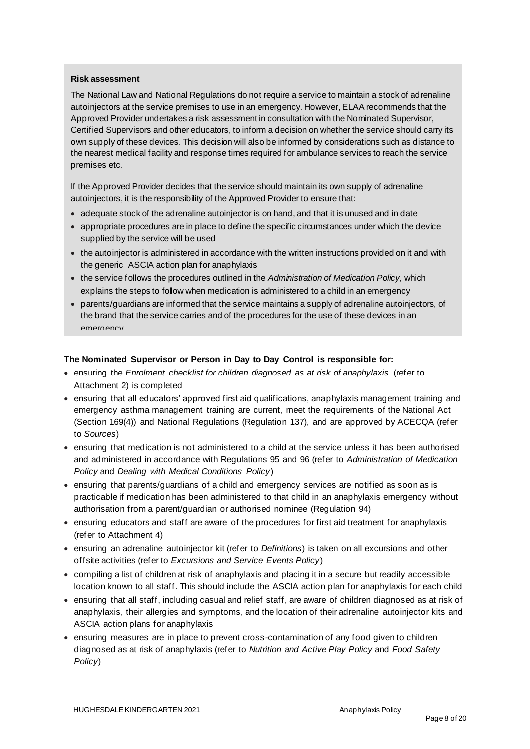#### **Risk assessment**

The National Law and National Regulations do not require a service to maintain a stock of adrenaline autoinjectors at the service premises to use in an emergency. However, ELAA recommends that the Approved Provider undertakes a risk assessment in consultation with the Nominated Supervisor, Certified Supervisors and other educators, to inform a decision on whether the service should carry its own supply of these devices. This decision will also be informed by considerations such as distance to the nearest medical facility and response times required for ambulance services to reach the service premises etc.

If the Approved Provider decides that the service should maintain its own supply of adrenaline autoinjectors, it is the responsibility of the Approved Provider to ensure that:

- adequate stock of the adrenaline autoinjector is on hand, and that it is unused and in date
- appropriate procedures are in place to define the specific circumstances under which the device supplied by the service will be used
- the autoinjector is administered in accordance with the written instructions provided on it and with the generic ASCIA action plan for anaphylaxis
- the service follows the procedures outlined in the *Administration of Medication Policy*, which explains the steps to follow when medication is administered to a child in an emergency
- parents/guardians are informed that the service maintains a supply of adrenaline autoinjectors, of the brand that the service carries and of the procedures for the use of these devices in an emergency

#### **The Nominated Supervisor or Person in Day to Day Control is responsible for:**

- ensuring the *Enrolment checklist for children diagnosed as at risk of anaphylaxis* (refer to Attachment 2) is completed
- ensuring that all educators' approved first aid qualifications, anaphylaxis management training and emergency asthma management training are current, meet the requirements of the National Act (Section 169(4)) and National Regulations (Regulation 137), and are approved by ACECQA (refer to *Sources*)
- ensuring that medication is not administered to a child at the service unless it has been authorised and administered in accordance with Regulations 95 and 96 (refer to *Administration of Medication Policy* and *Dealing with Medical Conditions Policy*)
- ensuring that parents/guardians of a child and emergency services are notified as soon as is practicable if medication has been administered to that child in an anaphylaxis emergency without authorisation from a parent/guardian or authorised nominee (Regulation 94)
- ensuring educators and staff are aware of the procedures for first aid treatment for anaphylaxis (refer to Attachment 4)
- ensuring an adrenaline autoinjector kit (refer to *Definitions*) is taken on all excursions and other offsite activities (refer to *Excursions and Service Events Policy*)
- compiling a list of children at risk of anaphylaxis and placing it in a secure but readily accessible location known to all staff. This should include the ASCIA action plan for anaphylaxis for each child
- ensuring that all staff, including casual and relief staff, are aware of children diagnosed as at risk of anaphylaxis, their allergies and symptoms, and the location of their adrenaline autoinjector kits and ASCIA action plans for anaphylaxis
- ensuring measures are in place to prevent cross-contamination of any food given to children diagnosed as at risk of anaphylaxis (refer to *Nutrition and Active Play Policy* and *Food Safety Policy*)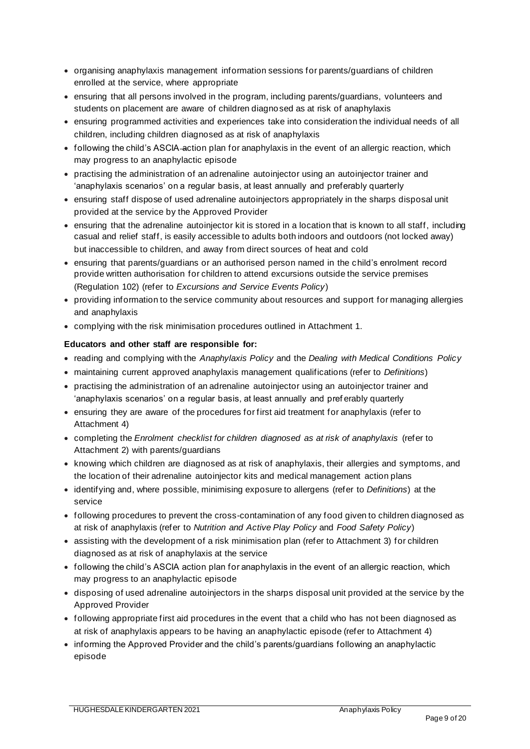- organising anaphylaxis management information sessions for parents/guardians of children enrolled at the service, where appropriate
- ensuring that all persons involved in the program, including parents/guardians, volunteers and students on placement are aware of children diagnosed as at risk of anaphylaxis
- ensuring programmed activities and experiences take into consideration the individual needs of all children, including children diagnosed as at risk of anaphylaxis
- following the child's ASCIA-action plan for anaphylaxis in the event of an allergic reaction, which may progress to an anaphylactic episode
- practising the administration of an adrenaline autoinjector using an autoinjector trainer and 'anaphylaxis scenarios' on a regular basis, at least annually and preferably quarterly
- ensuring staff dispose of used adrenaline autoinjectors appropriately in the sharps disposal unit provided at the service by the Approved Provider
- ensuring that the adrenaline autoinjector kit is stored in a location that is known to all staff, including casual and relief staff, is easily accessible to adults both indoors and outdoors (not locked away) but inaccessible to children, and away from direct sources of heat and cold
- ensuring that parents/guardians or an authorised person named in the child's enrolment record provide written authorisation for children to attend excursions outside the service premises (Regulation 102) (refer to *Excursions and Service Events Policy*)
- providing information to the service community about resources and support for managing allergies and anaphylaxis
- complying with the risk minimisation procedures outlined in Attachment 1.

### **Educators and other staff are responsible for:**

- reading and complying with the *Anaphylaxis Policy* and the *Dealing with Medical Conditions Policy*
- maintaining current approved anaphylaxis management qualifications (refer to *Definitions*)
- practising the administration of an adrenaline autoinjector using an autoinjector trainer and 'anaphylaxis scenarios' on a regular basis, at least annually and pref erably quarterly
- ensuring they are aware of the procedures for first aid treatment for anaphylaxis (refer to Attachment 4)
- completing the *Enrolment checklist for children diagnosed as at risk of anaphylaxis* (refer to Attachment 2) with parents/guardians
- knowing which children are diagnosed as at risk of anaphylaxis, their allergies and symptoms, and the location of their adrenaline autoinjector kits and medical management action plans
- identifying and, where possible, minimising exposure to allergens (refer to *Definitions*) at the service
- following procedures to prevent the cross-contamination of any food given to children diagnosed as at risk of anaphylaxis (refer to *Nutrition and Active Play Policy* and *Food Safety Policy*)
- assisting with the development of a risk minimisation plan (refer to Attachment 3) for children diagnosed as at risk of anaphylaxis at the service
- following the child's ASCIA action plan for anaphylaxis in the event of an allergic reaction, which may progress to an anaphylactic episode
- disposing of used adrenaline autoinjectors in the sharps disposal unit provided at the service by the Approved Provider
- following appropriate first aid procedures in the event that a child who has not been diagnosed as at risk of anaphylaxis appears to be having an anaphylactic episode (refer to Attachment 4)
- informing the Approved Provider and the child's parents/guardians following an anaphylactic episode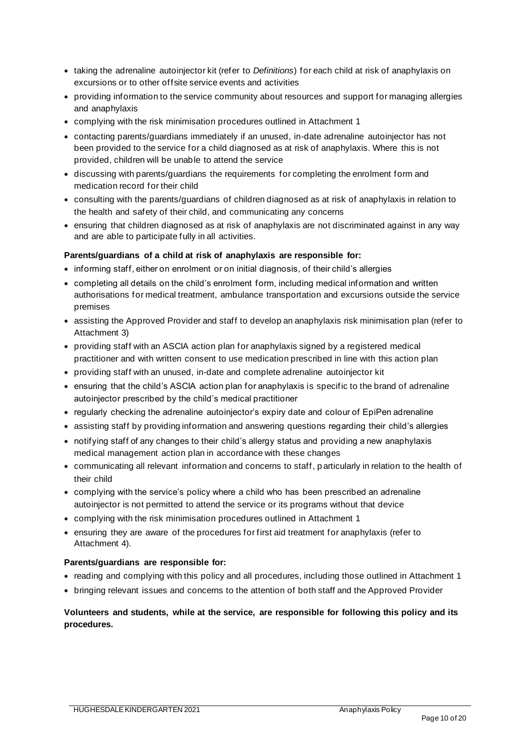- taking the adrenaline autoinjector kit (refer to *Definitions*) for each child at risk of anaphylaxis on excursions or to other offsite service events and activities
- providing information to the service community about resources and support for managing allergies and anaphylaxis
- complying with the risk minimisation procedures outlined in Attachment 1
- contacting parents/guardians immediately if an unused, in-date adrenaline autoinjector has not been provided to the service for a child diagnosed as at risk of anaphylaxis. Where this is not provided, children will be unable to attend the service
- discussing with parents/guardians the requirements for completing the enrolment form and medication record for their child
- consulting with the parents/guardians of children diagnosed as at risk of anaphylaxis in relation to the health and safety of their child, and communicating any concerns
- ensuring that children diagnosed as at risk of anaphylaxis are not discriminated against in any way and are able to participate fully in all activities.

### **Parents/guardians of a child at risk of anaphylaxis are responsible for:**

- informing staff, either on enrolment or on initial diagnosis, of their child's allergies
- completing all details on the child's enrolment form, including medical information and written authorisations for medical treatment, ambulance transportation and excursions outside the service premises
- assisting the Approved Provider and staff to develop an anaphylaxis risk minimisation plan (refer to Attachment 3)
- providing staff with an ASCIA action plan for anaphylaxis signed by a registered medical practitioner and with written consent to use medication prescribed in line with this action plan
- providing staff with an unused, in-date and complete adrenaline autoinjector kit
- ensuring that the child's ASCIA action plan for anaphylaxis is specific to the brand of adrenaline autoinjector prescribed by the child's medical practitioner
- regularly checking the adrenaline autoinjector's expiry date and colour of EpiPen adrenaline
- assisting staff by providing information and answering questions regarding their child's allergies
- notifying staff of any changes to their child's allergy status and providing a new anaphylaxis medical management action plan in accordance with these changes
- communicating all relevant information and concerns to staff, particularly in relation to the health of their child
- complying with the service's policy where a child who has been prescribed an adrenaline autoinjector is not permitted to attend the service or its programs without that device
- complying with the risk minimisation procedures outlined in Attachment 1
- ensuring they are aware of the procedures for first aid treatment for anaphylaxis (refer to Attachment 4).

#### **Parents/guardians are responsible for:**

- reading and complying with this policy and all procedures, including those outlined in Attachment 1
- bringing relevant issues and concerns to the attention of both staff and the Approved Provider

### **Volunteers and students, while at the service, are responsible for following this policy and its procedures.**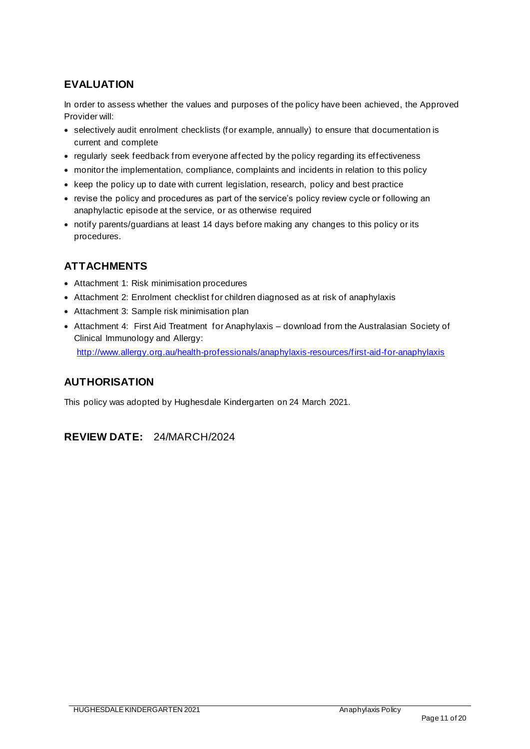# **EVALUATION**

In order to assess whether the values and purposes of the policy have been achieved, the Approved Provider will:

- selectively audit enrolment checklists (for example, annually) to ensure that documentation is current and complete
- regularly seek feedback from everyone affected by the policy regarding its effectiveness
- monitor the implementation, compliance, complaints and incidents in relation to this policy
- keep the policy up to date with current legislation, research, policy and best practice
- revise the policy and procedures as part of the service's policy review cycle or following an anaphylactic episode at the service, or as otherwise required
- notify parents/guardians at least 14 days before making any changes to this policy or its procedures.

### **ATTACHMENTS**

- Attachment 1: Risk minimisation procedures
- Attachment 2: Enrolment checklist for children diagnosed as at risk of anaphylaxis
- Attachment 3: Sample risk minimisation plan
- Attachment 4: First Aid Treatment for Anaphylaxis download from the Australasian Society of Clinical Immunology and Allergy:

http://www.allergy.org.au/health-professionals/anaphylaxis-resources/first-aid-for-anaphylaxis

### **AUTHORISATION**

This policy was adopted by Hughesdale Kindergarten on 24 March 2021.

### **REVIEW DATE:** 24/MARCH/2024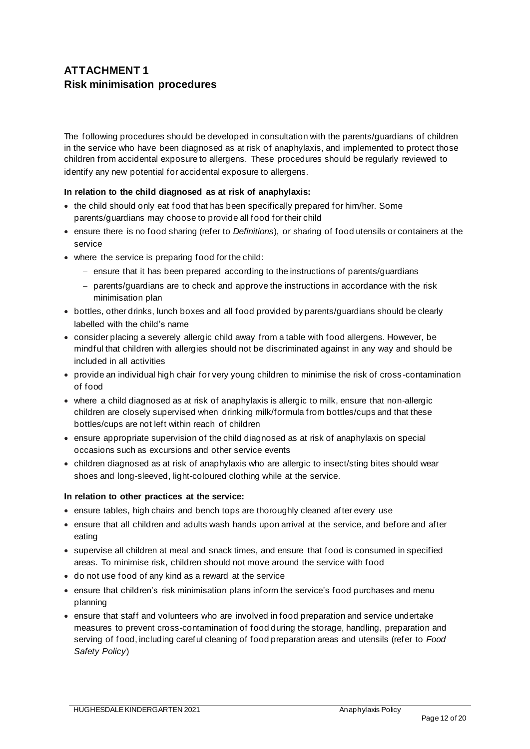# **ATTACHMENT 1 Risk minimisation procedures**

The following procedures should be developed in consultation with the parents/guardians of children in the service who have been diagnosed as at risk of anaphylaxis, and implemented to protect those children from accidental exposure to allergens. These procedures should be regularly reviewed to identify any new potential for accidental exposure to allergens.

### **In relation to the child diagnosed as at risk of anaphylaxis:**

- the child should only eat food that has been specifically prepared for him/her. Some parents/guardians may choose to provide all food for their child
- ensure there is no food sharing (refer to *Definitions*), or sharing of food utensils or containers at the service
- where the service is preparing food for the child:
	- − ensure that it has been prepared according to the instructions of parents/guardians
	- − parents/guardians are to check and approve the instructions in accordance with the risk minimisation plan
- bottles, other drinks, lunch boxes and all food provided by parents/guardians should be clearly labelled with the child's name
- consider placing a severely allergic child away from a table with food allergens. However, be mindful that children with allergies should not be discriminated against in any way and should be included in all activities
- provide an individual high chair for very young children to minimise the risk of cross -contamination of food
- where a child diagnosed as at risk of anaphylaxis is allergic to milk, ensure that non-allergic children are closely supervised when drinking milk/formula from bottles/cups and that these bottles/cups are not left within reach of children
- ensure appropriate supervision of the child diagnosed as at risk of anaphylaxis on special occasions such as excursions and other service events
- children diagnosed as at risk of anaphylaxis who are allergic to insect/sting bites should wear shoes and long-sleeved, light-coloured clothing while at the service.

#### **In relation to other practices at the service:**

- ensure tables, high chairs and bench tops are thoroughly cleaned after every use
- ensure that all children and adults wash hands upon arrival at the service, and before and after eating
- supervise all children at meal and snack times, and ensure that food is consumed in specified areas. To minimise risk, children should not move around the service with food
- do not use food of any kind as a reward at the service
- ensure that children's risk minimisation plans inform the service's food purchases and menu planning
- ensure that staff and volunteers who are involved in food preparation and service undertake measures to prevent cross-contamination of food during the storage, handling, preparation and serving of food, including careful cleaning of food preparation areas and utensils (refer to *Food Safety Policy*)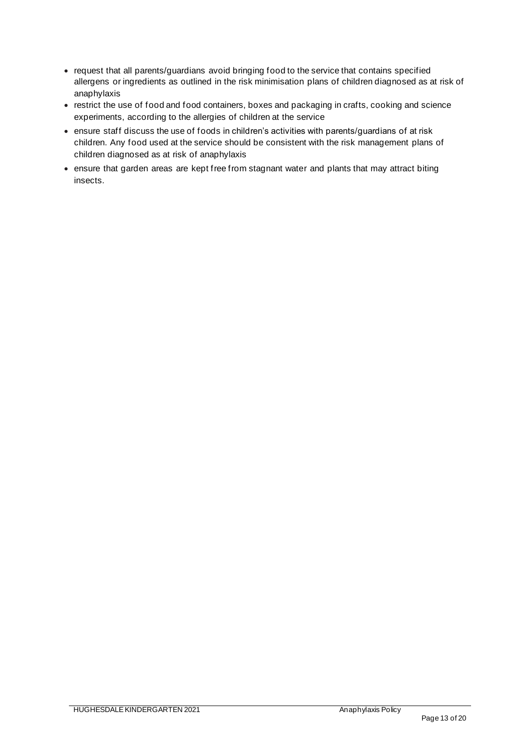- request that all parents/guardians avoid bringing food to the service that contains specified allergens or ingredients as outlined in the risk minimisation plans of children diagnosed as at risk of anaphylaxis
- restrict the use of food and food containers, boxes and packaging in crafts, cooking and science experiments, according to the allergies of children at the service
- ensure staff discuss the use of foods in children's activities with parents/guardians of at risk children. Any food used at the service should be consistent with the risk management plans of children diagnosed as at risk of anaphylaxis
- ensure that garden areas are kept free from stagnant water and plants that may attract biting insects.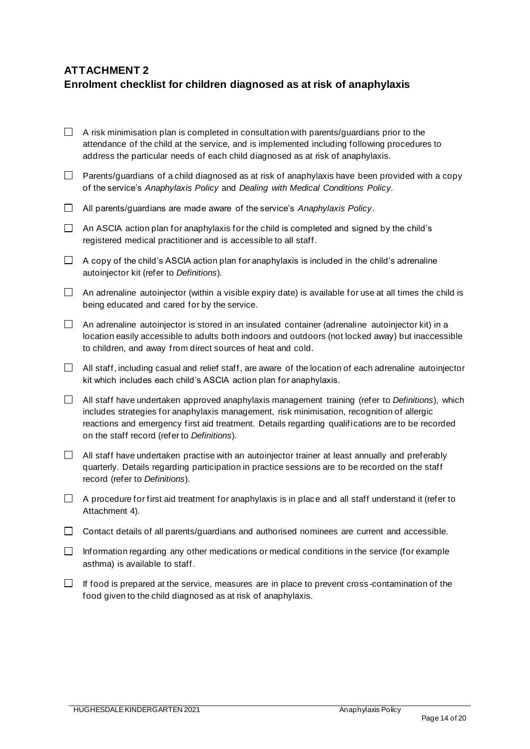# **ATTACHMENT 2**

### **Enrolment checklist for children diagnosed as at risk of anaphylaxis**

- $\Box$  A risk minimisation plan is completed in consultation with parents/quardians prior to the attendance of the child at the service, and is implemented including following procedures to address the particular needs of each child diagnosed as at risk of anaphylaxis.
- $\Box$  Parents/guardians of a child diagnosed as at risk of anaphylaxis have been provided with a copy of the service's *Anaphylaxis Policy* and *Dealing with Medical Conditions Policy.*
- All parents/guardians are made aware of the service's *Anaphylaxis Policy*.
- $\Box$  An ASCIA action plan for anaphylaxis for the child is completed and signed by the child's registered medical practitioner and is accessible to all staff.
- $\Box$  A copy of the child's ASCIA action plan for anaphylaxis is included in the child's adrenaline autoinjector kit (refer to *Definitions*).
- $\Box$  An adrenaline autoinjector (within a visible expiry date) is available for use at all times the child is being educated and cared for by the service.
- $\Box$  An adrenaline autoinjector is stored in an insulated container (adrenaline autoinjector kit) in a location easily accessible to adults both indoors and outdoors (not locked away) but inaccessible to children, and away from direct sources of heat and cold.
- $\Box$  All staff, including casual and relief staff, are aware of the location of each adrenaline autoinjector kit which includes each child's ASCIA action plan for anaphylaxis.
- All staff have undertaken approved anaphylaxis management training (refer to *Definitions*), which includes strategies for anaphylaxis management, risk minimisation, recognition of allergic reactions and emergency first aid treatment. Details regarding qualifications are to be recorded on the staff record (refer to *Definitions*).
- $\Box$  All staff have undertaken practise with an autoinjector trainer at least annually and preferably quarterly. Details regarding participation in practice sessions are to be recorded on the staff record (refer to *Definitions*).
- $\Box$  A procedure for first aid treatment for anaphylaxis is in place and all staff understand it (refer to Attachment 4).
- $\Box$  Contact details of all parents/guardians and authorised nominees are current and accessible.
- Information regarding any other medications or medical conditions in the service (for example asthma) is available to staff.
- $\Box$  If food is prepared at the service, measures are in place to prevent cross-contamination of the food given to the child diagnosed as at risk of anaphylaxis.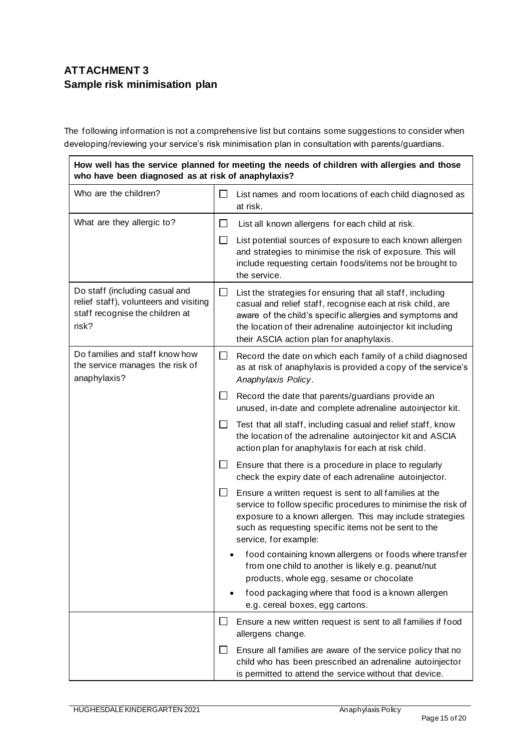# **ATTACHMENT 3 Sample risk minimisation plan**

The following information is not a comprehensive list but contains some suggestions to consider when developing/reviewing your service's risk minimisation plan in consultation with parents/guardians.

**How well has the service planned for meeting the needs of children with allergies and those who have been diagnosed as at risk of anaphylaxis?**

| Who are the children?                                                                                                | $\Box$ | List names and room locations of each child diagnosed as<br>at risk.                                                                                                                                                                                                                            |  |
|----------------------------------------------------------------------------------------------------------------------|--------|-------------------------------------------------------------------------------------------------------------------------------------------------------------------------------------------------------------------------------------------------------------------------------------------------|--|
| What are they allergic to?                                                                                           | ⊔      | List all known allergens for each child at risk.                                                                                                                                                                                                                                                |  |
|                                                                                                                      | ⊔      | List potential sources of exposure to each known allergen<br>and strategies to minimise the risk of exposure. This will<br>include requesting certain foods/items not be brought to<br>the service.                                                                                             |  |
| Do staff (including casual and<br>relief staff), volunteers and visiting<br>staff recognise the children at<br>risk? | □      | List the strategies for ensuring that all staff, including<br>casual and relief staff, recognise each at risk child, are<br>aware of the child's specific allergies and symptoms and<br>the location of their adrenaline autoinjector kit including<br>their ASCIA action plan for anaphylaxis. |  |
| Do families and staff know how<br>the service manages the risk of<br>anaphylaxis?                                    | $\Box$ | Record the date on which each family of a child diagnosed<br>as at risk of anaphylaxis is provided a copy of the service's<br>Anaphylaxis Policy.                                                                                                                                               |  |
|                                                                                                                      | ⊔      | Record the date that parents/guardians provide an<br>unused, in-date and complete adrenaline autoinjector kit.                                                                                                                                                                                  |  |
|                                                                                                                      | $\Box$ | Test that all staff, including casual and relief staff, know<br>the location of the adrenaline autoinjector kit and ASCIA<br>action plan for anaphylaxis for each at risk child.                                                                                                                |  |
|                                                                                                                      | ப      | Ensure that there is a procedure in place to regularly<br>check the expiry date of each adrenaline autoinjector.                                                                                                                                                                                |  |
|                                                                                                                      |        | Ensure a written request is sent to all families at the<br>service to follow specific procedures to minimise the risk of<br>exposure to a known allergen. This may include strategies<br>such as requesting specific items not be sent to the<br>service, for example:                          |  |
|                                                                                                                      |        | food containing known allergens or foods where transfer<br>from one child to another is likely e.g. peanut/nut<br>products, whole egg, sesame or chocolate                                                                                                                                      |  |
|                                                                                                                      |        | food packaging where that food is a known allergen<br>e.g. cereal boxes, egg cartons.                                                                                                                                                                                                           |  |
|                                                                                                                      | ப      | Ensure a new written request is sent to all families if food<br>allergens change.                                                                                                                                                                                                               |  |
|                                                                                                                      | ⊔      | Ensure all families are aware of the service policy that no<br>child who has been prescribed an adrenaline autoinjector<br>is permitted to attend the service without that device.                                                                                                              |  |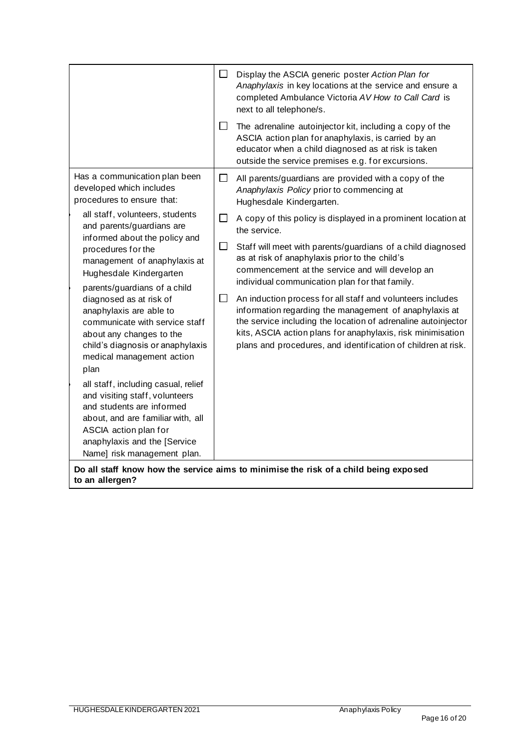|                                                                                                                                                                                                                                                                                                                                                                                                                                                                                                                                                                                                                                                                                                                                           | $\Box$<br>$\Box$           | Display the ASCIA generic poster Action Plan for<br>Anaphylaxis in key locations at the service and ensure a<br>completed Ambulance Victoria AV How to Call Card is<br>next to all telephone/s.<br>The adrenaline autoinjector kit, including a copy of the<br>ASCIA action plan for anaphylaxis, is carried by an<br>educator when a child diagnosed as at risk is taken<br>outside the service premises e.g. for excursions.                                                                                                                                                                                                                                                                                                                                 |
|-------------------------------------------------------------------------------------------------------------------------------------------------------------------------------------------------------------------------------------------------------------------------------------------------------------------------------------------------------------------------------------------------------------------------------------------------------------------------------------------------------------------------------------------------------------------------------------------------------------------------------------------------------------------------------------------------------------------------------------------|----------------------------|----------------------------------------------------------------------------------------------------------------------------------------------------------------------------------------------------------------------------------------------------------------------------------------------------------------------------------------------------------------------------------------------------------------------------------------------------------------------------------------------------------------------------------------------------------------------------------------------------------------------------------------------------------------------------------------------------------------------------------------------------------------|
| Has a communication plan been<br>developed which includes<br>procedures to ensure that:<br>all staff, volunteers, students<br>and parents/guardians are<br>informed about the policy and<br>procedures for the<br>management of anaphylaxis at<br>Hughesdale Kindergarten<br>parents/guardians of a child<br>diagnosed as at risk of<br>anaphylaxis are able to<br>communicate with service staff<br>about any changes to the<br>child's diagnosis or anaphylaxis<br>medical management action<br>plan<br>all staff, including casual, relief<br>and visiting staff, volunteers<br>and students are informed<br>about, and are familiar with, all<br>ASCIA action plan for<br>anaphylaxis and the [Service<br>Name] risk management plan. | П<br>$\Box$<br>$\Box$<br>⊔ | All parents/guardians are provided with a copy of the<br>Anaphylaxis Policy prior to commencing at<br>Hughesdale Kindergarten.<br>A copy of this policy is displayed in a prominent location at<br>the service.<br>Staff will meet with parents/guardians of a child diagnosed<br>as at risk of anaphylaxis prior to the child's<br>commencement at the service and will develop an<br>individual communication plan for that family.<br>An induction process for all staff and volunteers includes<br>information regarding the management of anaphylaxis at<br>the service including the location of adrenaline autoinjector<br>kits, ASCIA action plans for anaphylaxis, risk minimisation<br>plans and procedures, and identification of children at risk. |

**Do all staff know how the service aims to minimise the risk of a child being exposed to an allergen?**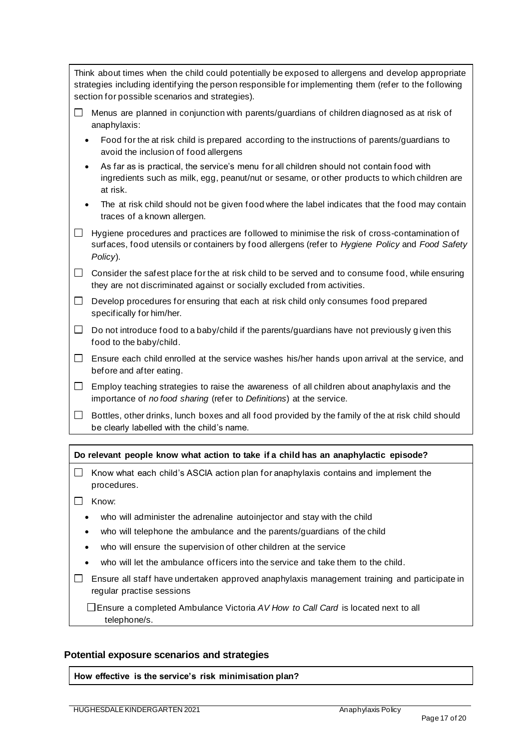Think about times when the child could potentially be exposed to allergens and develop appropriate strategies including identifying the person responsible for implementing them (refer to the following section for possible scenarios and strategies).

- $\Box$  Menus are planned in conjunction with parents/guardians of children diagnosed as at risk of anaphylaxis:
	- Food for the at risk child is prepared according to the instructions of parents/guardians to avoid the inclusion of food allergens
	- As far as is practical, the service's menu for all children should not contain food with ingredients such as milk, egg, peanut/nut or sesame, or other products to which children are at risk.
	- The at risk child should not be given food where the label indicates that the food may contain traces of a known allergen.
- $\Box$  Hygiene procedures and practices are followed to minimise the risk of cross-contamination of surfaces, food utensils or containers by food allergens (refer to *Hygiene Policy* and *Food Safety Policy*).

 $\Box$  Consider the safest place for the at risk child to be served and to consume food, while ensuring they are not discriminated against or socially excluded from activities.

- $\Box$  Develop procedures for ensuring that each at risk child only consumes food prepared specifically for him/her.
- $\Box$  Do not introduce food to a baby/child if the parents/guardians have not previously given this food to the baby/child.
- $\Box$  Ensure each child enrolled at the service washes his/her hands upon arrival at the service, and before and after eating.
- $\Box$  Employ teaching strategies to raise the awareness of all children about anaphylaxis and the importance of *no food sharing* (refer to *Definitions*) at the service.
- $\Box$  Bottles, other drinks, lunch boxes and all food provided by the family of the at risk child should be clearly labelled with the child's name.

#### **Do relevant people know what action to take if a child has an anaphylactic episode?**

- $\Box$  Know what each child's ASCIA action plan for anaphylaxis contains and implement the procedures.
- $\Box$  Know:
	- who will administer the adrenaline autoinjector and stay with the child
	- who will telephone the ambulance and the parents/guardians of the child
	- who will ensure the supervision of other children at the service
	- who will let the ambulance officers into the service and take them to the child.
- $\Box$  Ensure all staff have undertaken approved anaphylaxis management training and participate in regular practise sessions

Ensure a completed Ambulance Victoria *AV How to Call Card* is located next to all telephone/s.

#### **Potential exposure scenarios and strategies**

**How effective is the service's risk minimisation plan?**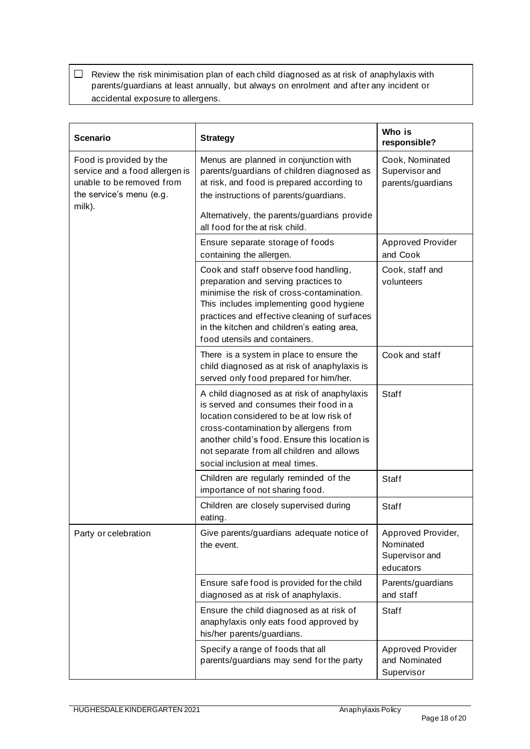$\Box$  Review the risk minimisation plan of each child diagnosed as at risk of anaphylaxis with parents/guardians at least annually, but always on enrolment and after any incident or accidental exposure to allergens.

| <b>Scenario</b>                                                                                                              | <b>Strategy</b>                                                                                                                                                                                                                                                                                             | Who is<br>responsible?                                         |
|------------------------------------------------------------------------------------------------------------------------------|-------------------------------------------------------------------------------------------------------------------------------------------------------------------------------------------------------------------------------------------------------------------------------------------------------------|----------------------------------------------------------------|
| Food is provided by the<br>service and a food allergen is<br>unable to be removed from<br>the service's menu (e.g.<br>milk). | Menus are planned in conjunction with<br>parents/guardians of children diagnosed as<br>at risk, and food is prepared according to<br>the instructions of parents/guardians.<br>Alternatively, the parents/guardians provide<br>all food for the at risk child.                                              | Cook, Nominated<br>Supervisor and<br>parents/guardians         |
|                                                                                                                              | Ensure separate storage of foods<br>containing the allergen.                                                                                                                                                                                                                                                | <b>Approved Provider</b><br>and Cook                           |
|                                                                                                                              | Cook and staff observe food handling,<br>preparation and serving practices to<br>minimise the risk of cross-contamination.<br>This includes implementing good hygiene<br>practices and effective cleaning of surfaces<br>in the kitchen and children's eating area,<br>food utensils and containers.        | Cook, staff and<br>volunteers                                  |
|                                                                                                                              | There is a system in place to ensure the<br>child diagnosed as at risk of anaphylaxis is<br>served only food prepared for him/her.                                                                                                                                                                          | Cook and staff                                                 |
|                                                                                                                              | A child diagnosed as at risk of anaphylaxis<br>is served and consumes their food in a<br>location considered to be at low risk of<br>cross-contamination by allergens from<br>another child's food. Ensure this location is<br>not separate from all children and allows<br>social inclusion at meal times. | Staff                                                          |
|                                                                                                                              | Children are regularly reminded of the<br>importance of not sharing food.                                                                                                                                                                                                                                   | Staff                                                          |
|                                                                                                                              | Children are closely supervised during<br>eating.                                                                                                                                                                                                                                                           | Staff                                                          |
| Party or celebration                                                                                                         | Give parents/guardians adequate notice of<br>the event.                                                                                                                                                                                                                                                     | Approved Provider,<br>Nominated<br>Supervisor and<br>educators |
|                                                                                                                              | Ensure safe food is provided for the child<br>diagnosed as at risk of anaphylaxis.                                                                                                                                                                                                                          | Parents/guardians<br>and staff                                 |
|                                                                                                                              | Ensure the child diagnosed as at risk of<br>anaphylaxis only eats food approved by<br>his/her parents/guardians.                                                                                                                                                                                            | Staff                                                          |
|                                                                                                                              | Specify a range of foods that all<br>parents/guardians may send for the party                                                                                                                                                                                                                               | <b>Approved Provider</b><br>and Nominated<br>Supervisor        |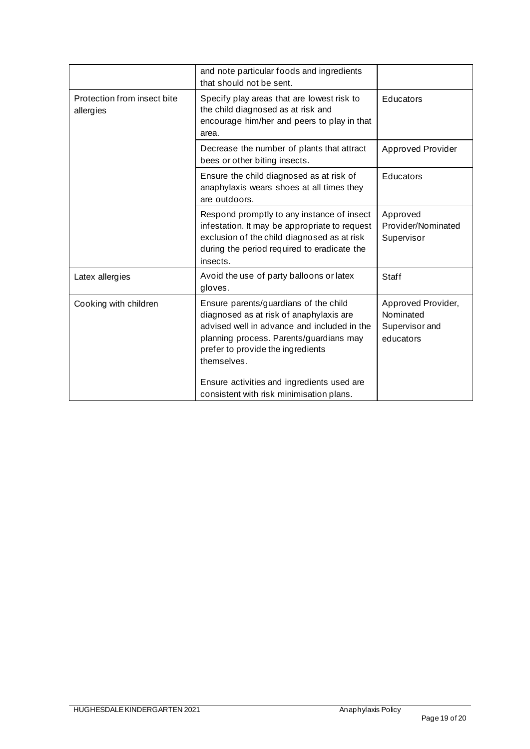| and note particular foods and ingredients<br>that should not be sent.                                                                                                                                                                                                        |                                                                |
|------------------------------------------------------------------------------------------------------------------------------------------------------------------------------------------------------------------------------------------------------------------------------|----------------------------------------------------------------|
| Specify play areas that are lowest risk to<br>the child diagnosed as at risk and<br>encourage him/her and peers to play in that<br>area.                                                                                                                                     | Educators                                                      |
| Decrease the number of plants that attract<br>bees or other biting insects.                                                                                                                                                                                                  | <b>Approved Provider</b>                                       |
| Ensure the child diagnosed as at risk of<br>anaphylaxis wears shoes at all times they<br>are outdoors.                                                                                                                                                                       | Educators                                                      |
| Respond promptly to any instance of insect<br>infestation. It may be appropriate to request<br>exclusion of the child diagnosed as at risk<br>during the period required to eradicate the<br>insects.                                                                        | Approved<br>Provider/Nominated<br>Supervisor                   |
| Avoid the use of party balloons or latex<br>gloves.                                                                                                                                                                                                                          | Staff                                                          |
| Ensure parents/guardians of the child<br>diagnosed as at risk of anaphylaxis are<br>advised well in advance and included in the<br>planning process. Parents/guardians may<br>prefer to provide the ingredients<br>themselves.<br>Ensure activities and ingredients used are | Approved Provider,<br>Nominated<br>Supervisor and<br>educators |
|                                                                                                                                                                                                                                                                              | consistent with risk minimisation plans.                       |